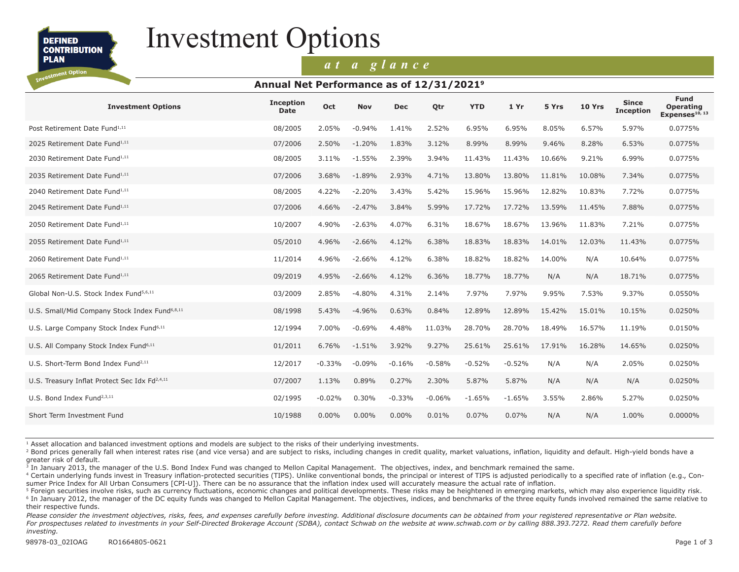**DEFINED CONTRIBUTION** 

**PLAN** vestment Option

# Investment Options

## *at a glance*

#### **Annual Net Performance as of 12/31/20219**

| <b>Investment Options</b>                                 | <b>Inception</b><br><b>Date</b> | <b>Oct</b> | <b>Nov</b> | <b>Dec</b> | Otr      | <b>YTD</b> | 1 Yr     | 5 Yrs  | <b>10 Yrs</b> | <b>Since</b><br><b>Inception</b> | <b>Fund</b><br><b>Operating</b><br>Expenses <sup>10, 13</sup> |
|-----------------------------------------------------------|---------------------------------|------------|------------|------------|----------|------------|----------|--------|---------------|----------------------------------|---------------------------------------------------------------|
| Post Retirement Date Fund <sup>1,11</sup>                 | 08/2005                         | 2.05%      | $-0.94%$   | 1.41%      | 2.52%    | 6.95%      | 6.95%    | 8.05%  | 6.57%         | 5.97%                            | 0.0775%                                                       |
| 2025 Retirement Date Fund <sup>1,11</sup>                 | 07/2006                         | 2.50%      | $-1.20%$   | 1.83%      | 3.12%    | 8.99%      | 8.99%    | 9.46%  | 8.28%         | 6.53%                            | 0.0775%                                                       |
| 2030 Retirement Date Fund <sup>1,11</sup>                 | 08/2005                         | 3.11%      | $-1.55%$   | 2.39%      | 3.94%    | 11.43%     | 11.43%   | 10.66% | 9.21%         | 6.99%                            | 0.0775%                                                       |
| 2035 Retirement Date Fund <sup>1,11</sup>                 | 07/2006                         | 3.68%      | $-1.89%$   | 2.93%      | 4.71%    | 13.80%     | 13.80%   | 11.81% | 10.08%        | 7.34%                            | 0.0775%                                                       |
| 2040 Retirement Date Fund <sup>1,11</sup>                 | 08/2005                         | 4.22%      | $-2.20%$   | 3.43%      | 5.42%    | 15.96%     | 15.96%   | 12.82% | 10.83%        | 7.72%                            | 0.0775%                                                       |
| 2045 Retirement Date Fund <sup>1,11</sup>                 | 07/2006                         | 4.66%      | $-2.47%$   | 3.84%      | 5.99%    | 17.72%     | 17.72%   | 13.59% | 11.45%        | 7.88%                            | 0.0775%                                                       |
| 2050 Retirement Date Fund <sup>1,11</sup>                 | 10/2007                         | 4.90%      | $-2.63%$   | 4.07%      | 6.31%    | 18.67%     | 18.67%   | 13.96% | 11.83%        | 7.21%                            | 0.0775%                                                       |
| 2055 Retirement Date Fund <sup>1,11</sup>                 | 05/2010                         | 4.96%      | $-2.66%$   | 4.12%      | 6.38%    | 18.83%     | 18.83%   | 14.01% | 12.03%        | 11.43%                           | 0.0775%                                                       |
| 2060 Retirement Date Fund <sup>1,11</sup>                 | 11/2014                         | 4.96%      | $-2.66%$   | 4.12%      | 6.38%    | 18.82%     | 18.82%   | 14.00% | N/A           | 10.64%                           | 0.0775%                                                       |
| 2065 Retirement Date Fund <sup>1,11</sup>                 | 09/2019                         | 4.95%      | $-2.66%$   | 4.12%      | 6.36%    | 18.77%     | 18.77%   | N/A    | N/A           | 18.71%                           | 0.0775%                                                       |
| Global Non-U.S. Stock Index Fund <sup>5,6,11</sup>        | 03/2009                         | 2.85%      | $-4.80%$   | 4.31%      | 2.14%    | 7.97%      | 7.97%    | 9.95%  | 7.53%         | 9.37%                            | 0.0550%                                                       |
| U.S. Small/Mid Company Stock Index Fund <sup>6,8,11</sup> | 08/1998                         | 5.43%      | $-4.96%$   | 0.63%      | 0.84%    | 12.89%     | 12.89%   | 15.42% | 15.01%        | 10.15%                           | 0.0250%                                                       |
| U.S. Large Company Stock Index Fund <sup>6,11</sup>       | 12/1994                         | 7.00%      | $-0.69%$   | 4.48%      | 11.03%   | 28.70%     | 28.70%   | 18.49% | 16.57%        | 11.19%                           | 0.0150%                                                       |
| U.S. All Company Stock Index Fund <sup>6,11</sup>         | 01/2011                         | 6.76%      | $-1.51%$   | 3.92%      | 9.27%    | 25.61%     | 25.61%   | 17.91% | 16.28%        | 14.65%                           | 0.0250%                                                       |
| U.S. Short-Term Bond Index Fund <sup>2,11</sup>           | 12/2017                         | $-0.33%$   | $-0.09%$   | $-0.16%$   | $-0.58%$ | $-0.52%$   | $-0.52%$ | N/A    | N/A           | 2.05%                            | 0.0250%                                                       |
| U.S. Treasury Inflat Protect Sec Idx Fd <sup>2,4,11</sup> | 07/2007                         | 1.13%      | 0.89%      | 0.27%      | 2.30%    | 5.87%      | 5.87%    | N/A    | N/A           | N/A                              | 0.0250%                                                       |
| U.S. Bond Index Fund <sup>2,3,11</sup>                    | 02/1995                         | $-0.02%$   | 0.30%      | $-0.33%$   | $-0.06%$ | $-1.65%$   | $-1.65%$ | 3.55%  | 2.86%         | 5.27%                            | 0.0250%                                                       |
| Short Term Investment Fund                                | 10/1988                         | 0.00%      | $0.00\%$   | $0.00\%$   | 0.01%    | 0.07%      | 0.07%    | N/A    | N/A           | 1.00%                            | $0.0000\%$                                                    |

1 Asset allocation and balanced investment options and models are subject to the risks of their underlying investments.

<sup>2</sup> Bond prices generally fall when interest rates rise (and vice versa) and are subject to risks, including changes in credit quality, market valuations, inflation, liquidity and default. High-yield bonds have a greater risk of default.

<sup>3</sup> In January 2013, the manager of the U.S. Bond Index Fund was changed to Mellon Capital Management. The objectives, index, and benchmark remained the same.

<sup>4</sup> Certain underlying funds invest in Treasury inflation-protected securities (TIPS). Unlike conventional bonds, the principal or interest of TIPS is adjusted periodically to a specified rate of inflation (e.g., Consumer Price Index for All Urban Consumers [CPI-U]). There can be no assurance that the inflation index used will accurately measure the actual rate of inflation.

<sup>5</sup> Foreign securities involve risks, such as currency fluctuations, economic changes and political developments. These risks may be heightened in emerging markets, which may also experience liquidity risk. <sup>6</sup> In January 2012, the manager of the DC equity funds was changed to Mellon Capital Management. The objectives, indices, and benchmarks of the three equity funds involved remained the same relative to their respective funds.

Please consider the investment objectives, risks, fees, and expenses carefully before investing. Additional disclosure documents can be obtained from your registered representative or Plan website. For prospectuses related to investments in your Self-Directed Brokerage Account (SDBA), contact Schwab on the website at www.schwab.com or by calling 888.393.7272. Read them carefully before *investing.*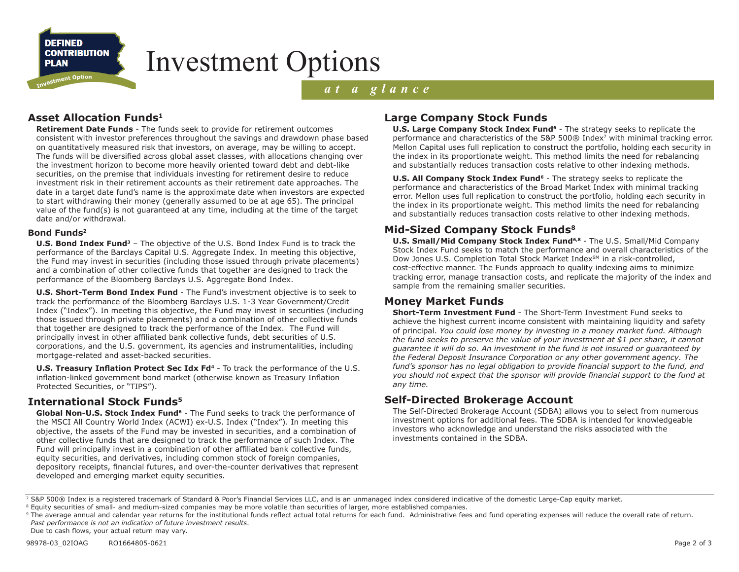

# Investment Options

## *at a glance*

## **Asset Allocation Funds1**

**Retirement Date Funds** - The funds seek to provide for retirement outcomes consistent with investor preferences throughout the savings and drawdown phase based on quantitatively measured risk that investors, on average, may be willing to accept. The funds will be diversified across global asset classes, with allocations changing over the investment horizon to become more heavily oriented toward debt and debt-like securities, on the premise that individuals investing for retirement desire to reduce investment risk in their retirement accounts as their retirement date approaches. The date in a target date fund's name is the approximate date when investors are expected to start withdrawing their money (generally assumed to be at age 65). The principal value of the fund(s) is not guaranteed at any time, including at the time of the target date and/or withdrawal.

#### **Bond Funds2**

**U.S. Bond Index Fund3** – The objective of the U.S. Bond Index Fund is to track the performance of the Barclays Capital U.S. Aggregate Index. In meeting this objective, the Fund may invest in securities (including those issued through private placements) and a combination of other collective funds that together are designed to track the performance of the Bloomberg Barclays U.S. Aggregate Bond Index.

**U.S. Short-Term Bond Index Fund** - The Fund's investment objective is to seek to track the performance of the Bloomberg Barclays U.S. 1-3 Year Government/Credit Index ("Index"). In meeting this objective, the Fund may invest in securities (including those issued through private placements) and a combination of other collective funds that together are designed to track the performance of the Index. The Fund will principally invest in other affiliated bank collective funds, debt securities of U.S. corporations, and the U.S. government, its agencies and instrumentalities, including mortgage-related and asset-backed securities.

**U.S. Treasury Inflation Protect Sec Idx Fd<sup>4</sup>** - To track the performance of the U.S. inflation-linked government bond market (otherwise known as Treasury Inflation Protected Securities, or "TIPS").

## **International Stock Funds5**

Global Non-U.S. Stock Index Fund<sup>6</sup> - The Fund seeks to track the performance of the MSCI All Country World Index (ACWI) ex-U.S. Index ("Index"). In meeting this objective, the assets of the Fund may be invested in securities, and a combination of other collective funds that are designed to track the performance of such Index. The Fund will principally invest in a combination of other affiliated bank collective funds, equity securities, and derivatives, including common stock of foreign companies, depository receipts, financial futures, and over-the-counter derivatives that represent developed and emerging market equity securities.

## **Large Company Stock Funds**

**U.S. Large Company Stock Index Fund<sup>6</sup>** - The strategy seeks to replicate the performance and characteristics of the S&P 500® Index7 with minimal tracking error. Mellon Capital uses full replication to construct the portfolio, holding each security in the index in its proportionate weight. This method limits the need for rebalancing and substantially reduces transaction costs relative to other indexing methods.

**U.S. All Company Stock Index Fund<sup>6</sup>** - The strategy seeks to replicate the performance and characteristics of the Broad Market Index with minimal tracking error. Mellon uses full replication to construct the portfolio, holding each security in the index in its proportionate weight. This method limits the need for rebalancing and substantially reduces transaction costs relative to other indexing methods.

## **Mid-Sized Company Stock Funds8**

**U.S. Small/Mid Company Stock Index Fund6,8** - The U.S. Small/Mid Company Stock Index Fund seeks to match the performance and overall characteristics of the Dow Jones U.S. Completion Total Stock Market Index<sup>SM</sup> in a risk-controlled, cost-effective manner. The Funds approach to quality indexing aims to minimize tracking error, manage transaction costs, and replicate the majority of the index and sample from the remaining smaller securities.

### **Money Market Funds**

**Short-Term Investment Fund** - The Short-Term Investment Fund seeks to achieve the highest current income consistent with maintaining liquidity and safety of principal. *You could lose money by investing in a money market fund. Although the fund seeks to preserve the value of your investment at \$1 per share, it cannot guarantee it will do so. An investment in the fund is not insured or guaranteed by the Federal Deposit Insurance Corporation or any other government agency. The fund's sponsor has no legal obligation to provide financial support to the fund, and you should not expect that the sponsor will provide financial support to the fund at any time.*

### **Self-Directed Brokerage Account**

The Self-Directed Brokerage Account (SDBA) allows you to select from numerous investment options for additional fees. The SDBA is intended for knowledgeable investors who acknowledge and understand the risks associated with the investments contained in the SDBA.

<sup>7</sup> S&P 500® Index is a registered trademark of Standard & Poor's Financial Services LLC, and is an unmanaged index considered indicative of the domestic Large-Cap equity market.

<sup>&</sup>lt;sup>8</sup> Equity securities of small- and medium-sized companies may be more volatile than securities of larger, more established companies.

<sup>&</sup>lt;sup>9</sup> The average annual and calendar year returns for the institutional funds reflect actual total returns for each fund. Administrative fees and fund operating expenses will reduce the overall rate of return. *Past performance is not an indication of future investment results*. Due to cash flows, your actual return may vary.